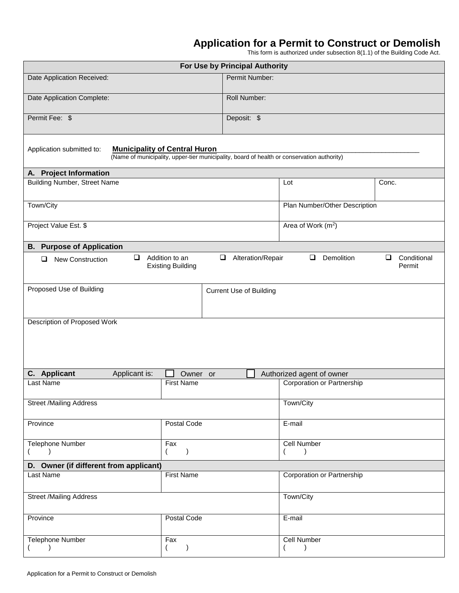## **Application for a Permit to Construct or Demolish**

This form is authorized under subsection 8(1.1) of the Building Code Act.

| For Use by Principal Authority                                                                                                                                          |                      |                                   |                                   |       |  |  |
|-------------------------------------------------------------------------------------------------------------------------------------------------------------------------|----------------------|-----------------------------------|-----------------------------------|-------|--|--|
| Permit Number:<br>Date Application Received:                                                                                                                            |                      |                                   |                                   |       |  |  |
| Roll Number:<br>Date Application Complete:                                                                                                                              |                      |                                   |                                   |       |  |  |
| Permit Fee: \$                                                                                                                                                          |                      | Deposit: \$                       |                                   |       |  |  |
| <b>Municipality of Central Huron</b><br>Application submitted to:<br>(Name of municipality, upper-tier municipality, board of health or conservation authority)         |                      |                                   |                                   |       |  |  |
| A. Project Information                                                                                                                                                  |                      |                                   |                                   |       |  |  |
| <b>Building Number, Street Name</b>                                                                                                                                     |                      |                                   | Lot                               | Conc. |  |  |
| Town/City                                                                                                                                                               |                      |                                   | Plan Number/Other Description     |       |  |  |
| Project Value Est. \$                                                                                                                                                   |                      |                                   | Area of Work (m <sup>2</sup> )    |       |  |  |
| <b>B.</b> Purpose of Application                                                                                                                                        |                      |                                   |                                   |       |  |  |
| Demolition<br>$\Box$<br>Addition to an<br>$\Box$<br>Conditional<br>$\Box$<br>Alteration/Repair<br>$\Box$<br>New Construction<br>❏<br><b>Existing Building</b><br>Permit |                      |                                   |                                   |       |  |  |
| Proposed Use of Building                                                                                                                                                |                      | <b>Current Use of Building</b>    |                                   |       |  |  |
|                                                                                                                                                                         |                      |                                   |                                   |       |  |  |
| Description of Proposed Work                                                                                                                                            |                      |                                   |                                   |       |  |  |
|                                                                                                                                                                         |                      |                                   |                                   |       |  |  |
| C. Applicant<br>Applicant is:                                                                                                                                           | Owner or             |                                   | Authorized agent of owner         |       |  |  |
| <b>Last Name</b>                                                                                                                                                        | <b>First Name</b>    |                                   | <b>Corporation or Partnership</b> |       |  |  |
| <b>Street /Mailing Address</b>                                                                                                                                          |                      |                                   | Town/City                         |       |  |  |
| Postal Code<br>Province                                                                                                                                                 |                      | E-mail                            |                                   |       |  |  |
| <b>Telephone Number</b><br>Fax<br>$\lambda$<br>$\left($<br>$\mathcal{E}$<br>€                                                                                           |                      | <b>Cell Number</b>                |                                   |       |  |  |
| D. Owner (if different from applicant)                                                                                                                                  |                      |                                   |                                   |       |  |  |
| <b>First Name</b><br>Last Name                                                                                                                                          |                      | <b>Corporation or Partnership</b> |                                   |       |  |  |
| <b>Street /Mailing Address</b>                                                                                                                                          |                      |                                   | Town/City                         |       |  |  |
| Postal Code<br>Province                                                                                                                                                 |                      | E-mail                            |                                   |       |  |  |
| Telephone Number<br>$\lambda$                                                                                                                                           | Fax<br>$\mathcal{E}$ |                                   | Cell Number                       |       |  |  |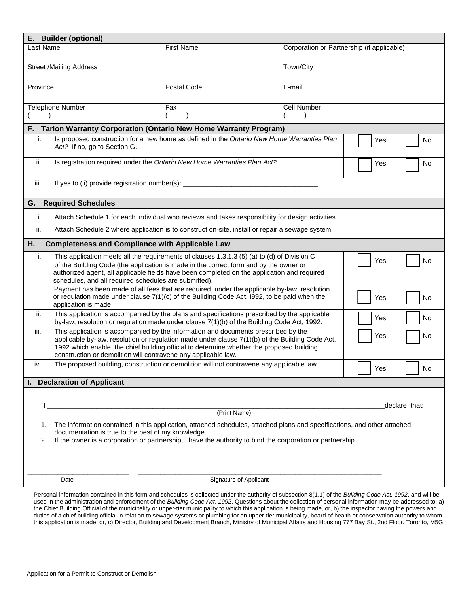| E. Builder (optional)                                                                                                                                                                                                                                                                                                                                           |                                                                                                                                                                                                                                                                                                                                                                     |                                                                                                   |  |  |  |  |
|-----------------------------------------------------------------------------------------------------------------------------------------------------------------------------------------------------------------------------------------------------------------------------------------------------------------------------------------------------------------|---------------------------------------------------------------------------------------------------------------------------------------------------------------------------------------------------------------------------------------------------------------------------------------------------------------------------------------------------------------------|---------------------------------------------------------------------------------------------------|--|--|--|--|
| Last Name                                                                                                                                                                                                                                                                                                                                                       | <b>First Name</b>                                                                                                                                                                                                                                                                                                                                                   | Corporation or Partnership (if applicable)                                                        |  |  |  |  |
| <b>Street /Mailing Address</b>                                                                                                                                                                                                                                                                                                                                  |                                                                                                                                                                                                                                                                                                                                                                     | Town/City                                                                                         |  |  |  |  |
| Province                                                                                                                                                                                                                                                                                                                                                        | Postal Code                                                                                                                                                                                                                                                                                                                                                         | E-mail                                                                                            |  |  |  |  |
| Telephone Number                                                                                                                                                                                                                                                                                                                                                | Fax                                                                                                                                                                                                                                                                                                                                                                 | Cell Number                                                                                       |  |  |  |  |
|                                                                                                                                                                                                                                                                                                                                                                 | F. Tarion Warranty Corporation (Ontario New Home Warranty Program)                                                                                                                                                                                                                                                                                                  |                                                                                                   |  |  |  |  |
| i.                                                                                                                                                                                                                                                                                                                                                              | Is proposed construction for a new home as defined in the Ontario New Home Warranties Plan<br>Yes<br>No<br>Act? If no, go to Section G.                                                                                                                                                                                                                             |                                                                                                   |  |  |  |  |
| ii.                                                                                                                                                                                                                                                                                                                                                             | Is registration required under the Ontario New Home Warranties Plan Act?<br>Yes<br>No                                                                                                                                                                                                                                                                               |                                                                                                   |  |  |  |  |
| iii.                                                                                                                                                                                                                                                                                                                                                            | If yes to (ii) provide registration number(s): _________________________________                                                                                                                                                                                                                                                                                    |                                                                                                   |  |  |  |  |
| <b>Required Schedules</b><br>G.                                                                                                                                                                                                                                                                                                                                 |                                                                                                                                                                                                                                                                                                                                                                     |                                                                                                   |  |  |  |  |
| i.                                                                                                                                                                                                                                                                                                                                                              |                                                                                                                                                                                                                                                                                                                                                                     | Attach Schedule 1 for each individual who reviews and takes responsibility for design activities. |  |  |  |  |
| ii.                                                                                                                                                                                                                                                                                                                                                             | Attach Schedule 2 where application is to construct on-site, install or repair a sewage system                                                                                                                                                                                                                                                                      |                                                                                                   |  |  |  |  |
| Η.                                                                                                                                                                                                                                                                                                                                                              | <b>Completeness and Compliance with Applicable Law</b>                                                                                                                                                                                                                                                                                                              |                                                                                                   |  |  |  |  |
| i.<br>This application meets all the requirements of clauses 1.3.1.3 (5) (a) to (d) of Division C<br>Yes<br>No<br>of the Building Code (the application is made in the correct form and by the owner or<br>authorized agent, all applicable fields have been completed on the application and required<br>schedules, and all required schedules are submitted). |                                                                                                                                                                                                                                                                                                                                                                     |                                                                                                   |  |  |  |  |
| application is made.                                                                                                                                                                                                                                                                                                                                            | Payment has been made of all fees that are required, under the applicable by-law, resolution<br>or regulation made under clause $7(1)(c)$ of the Building Code Act, 1992, to be paid when the<br>Yes<br>No                                                                                                                                                          |                                                                                                   |  |  |  |  |
| ii.                                                                                                                                                                                                                                                                                                                                                             | This application is accompanied by the plans and specifications prescribed by the applicable<br>Yes<br>by-law, resolution or regulation made under clause 7(1)(b) of the Building Code Act, 1992.                                                                                                                                                                   |                                                                                                   |  |  |  |  |
| iii.                                                                                                                                                                                                                                                                                                                                                            | This application is accompanied by the information and documents prescribed by the<br>Yes<br>No<br>applicable by-law, resolution or regulation made under clause $7(1)(b)$ of the Building Code Act,<br>1992 which enable the chief building official to determine whether the proposed building,<br>construction or demolition will contravene any applicable law. |                                                                                                   |  |  |  |  |
| iv.                                                                                                                                                                                                                                                                                                                                                             | The proposed building, construction or demolition will not contravene any applicable law.<br>Yes                                                                                                                                                                                                                                                                    |                                                                                                   |  |  |  |  |
| <b>Declaration of Applicant</b>                                                                                                                                                                                                                                                                                                                                 |                                                                                                                                                                                                                                                                                                                                                                     |                                                                                                   |  |  |  |  |
|                                                                                                                                                                                                                                                                                                                                                                 |                                                                                                                                                                                                                                                                                                                                                                     |                                                                                                   |  |  |  |  |
|                                                                                                                                                                                                                                                                                                                                                                 |                                                                                                                                                                                                                                                                                                                                                                     | declare that:                                                                                     |  |  |  |  |
|                                                                                                                                                                                                                                                                                                                                                                 |                                                                                                                                                                                                                                                                                                                                                                     | (Print Name)                                                                                      |  |  |  |  |
| The information contained in this application, attached schedules, attached plans and specifications, and other attached<br>1.<br>documentation is true to the best of my knowledge.<br>If the owner is a corporation or partnership, I have the authority to bind the corporation or partnership.<br>2.                                                        |                                                                                                                                                                                                                                                                                                                                                                     |                                                                                                   |  |  |  |  |
|                                                                                                                                                                                                                                                                                                                                                                 |                                                                                                                                                                                                                                                                                                                                                                     |                                                                                                   |  |  |  |  |
| Date                                                                                                                                                                                                                                                                                                                                                            |                                                                                                                                                                                                                                                                                                                                                                     | Signature of Applicant                                                                            |  |  |  |  |

Personal information contained in this form and schedules is collected under the authority of subsection 8(1.1) of the *Building Code Act, 1992*, and will be used in the administration and enforcement of the *Building Code Act, 1992*. Questions about the collection of personal information may be addressed to: a) the Chief Building Official of the municipality or upper-tier municipality to which this application is being made, or, b) the inspector having the powers and duties of a chief building official in relation to sewage systems or plumbing for an upper-tier municipality, board of health or conservation authority to whom this application is made, or, c) Director, Building and Development Branch, Ministry of Municipal Affairs and Housing 777 Bay St., 2nd Floor. Toronto, M5G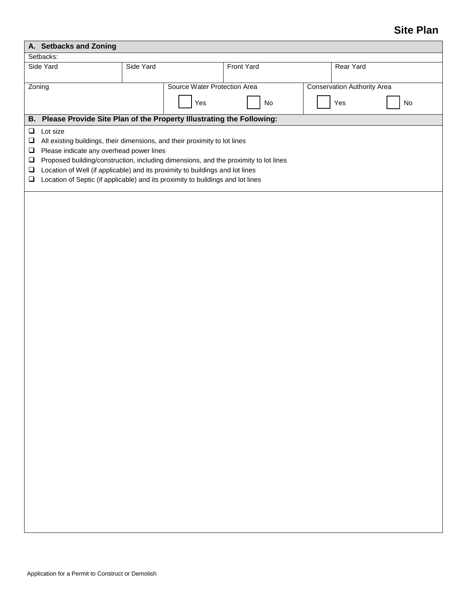## **Site Plan**

| A. Setbacks and Zoning                                   |                                                                                                                                                                                                                                                                                                                                                                                                |           |                              |            |  |                                    |    |
|----------------------------------------------------------|------------------------------------------------------------------------------------------------------------------------------------------------------------------------------------------------------------------------------------------------------------------------------------------------------------------------------------------------------------------------------------------------|-----------|------------------------------|------------|--|------------------------------------|----|
| Setbacks:<br>Side Yard                                   |                                                                                                                                                                                                                                                                                                                                                                                                |           |                              |            |  |                                    |    |
|                                                          |                                                                                                                                                                                                                                                                                                                                                                                                | Side Yard |                              | Front Yard |  | Rear Yard                          |    |
|                                                          | Zoning                                                                                                                                                                                                                                                                                                                                                                                         |           | Source Water Protection Area |            |  | <b>Conservation Authority Area</b> |    |
|                                                          |                                                                                                                                                                                                                                                                                                                                                                                                |           | Yes                          | No         |  | Yes                                | No |
|                                                          | B. Please Provide Site Plan of the Property Illustrating the Following:                                                                                                                                                                                                                                                                                                                        |           |                              |            |  |                                    |    |
| $\Box$<br>$\Box$<br>$\Box$<br>$\Box$<br>$\Box$<br>$\Box$ | Lot size<br>All existing buildings, their dimensions, and their proximity to lot lines<br>Please indicate any overhead power lines<br>Proposed building/construction, including dimensions, and the proximity to lot lines<br>Location of Well (if applicable) and its proximity to buildings and lot lines<br>Location of Septic (if applicable) and its proximity to buildings and lot lines |           |                              |            |  |                                    |    |
|                                                          |                                                                                                                                                                                                                                                                                                                                                                                                |           |                              |            |  |                                    |    |
|                                                          |                                                                                                                                                                                                                                                                                                                                                                                                |           |                              |            |  |                                    |    |
|                                                          |                                                                                                                                                                                                                                                                                                                                                                                                |           |                              |            |  |                                    |    |
|                                                          |                                                                                                                                                                                                                                                                                                                                                                                                |           |                              |            |  |                                    |    |
|                                                          |                                                                                                                                                                                                                                                                                                                                                                                                |           |                              |            |  |                                    |    |
|                                                          |                                                                                                                                                                                                                                                                                                                                                                                                |           |                              |            |  |                                    |    |
|                                                          |                                                                                                                                                                                                                                                                                                                                                                                                |           |                              |            |  |                                    |    |
|                                                          |                                                                                                                                                                                                                                                                                                                                                                                                |           |                              |            |  |                                    |    |
|                                                          |                                                                                                                                                                                                                                                                                                                                                                                                |           |                              |            |  |                                    |    |
|                                                          |                                                                                                                                                                                                                                                                                                                                                                                                |           |                              |            |  |                                    |    |
|                                                          |                                                                                                                                                                                                                                                                                                                                                                                                |           |                              |            |  |                                    |    |
|                                                          |                                                                                                                                                                                                                                                                                                                                                                                                |           |                              |            |  |                                    |    |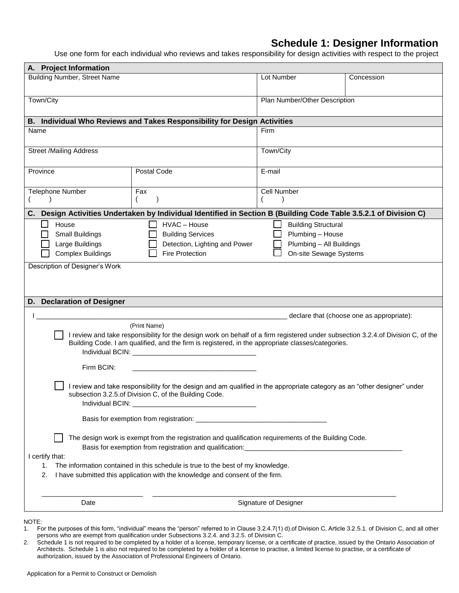## **Schedule 1: Designer Information**

Use one form for each individual who reviews and takes responsibility for design activities with respect to the project

| A. Project Information                                                                                                    |                                                                                                                                  |                            |                                           |  |  |
|---------------------------------------------------------------------------------------------------------------------------|----------------------------------------------------------------------------------------------------------------------------------|----------------------------|-------------------------------------------|--|--|
| <b>Building Number, Street Name</b>                                                                                       |                                                                                                                                  | Lot Number                 | Concession                                |  |  |
|                                                                                                                           |                                                                                                                                  |                            |                                           |  |  |
| Town/City                                                                                                                 |                                                                                                                                  |                            | Plan Number/Other Description             |  |  |
|                                                                                                                           |                                                                                                                                  |                            |                                           |  |  |
|                                                                                                                           | B. Individual Who Reviews and Takes Responsibility for Design Activities                                                         |                            |                                           |  |  |
| Name                                                                                                                      |                                                                                                                                  | Firm                       |                                           |  |  |
|                                                                                                                           |                                                                                                                                  |                            |                                           |  |  |
| <b>Street /Mailing Address</b>                                                                                            |                                                                                                                                  | Town/City                  |                                           |  |  |
| Province                                                                                                                  | Postal Code                                                                                                                      | E-mail                     |                                           |  |  |
|                                                                                                                           |                                                                                                                                  |                            |                                           |  |  |
| <b>Telephone Number</b>                                                                                                   | Fax                                                                                                                              | Cell Number                |                                           |  |  |
|                                                                                                                           |                                                                                                                                  |                            |                                           |  |  |
| C.                                                                                                                        | Design Activities Undertaken by Individual Identified in Section B (Building Code Table 3.5.2.1 of Division C)                   |                            |                                           |  |  |
| House<br>ΙI                                                                                                               | HVAC - House                                                                                                                     | <b>Building Structural</b> |                                           |  |  |
| <b>Small Buildings</b>                                                                                                    | <b>Building Services</b>                                                                                                         | Plumbing - House           |                                           |  |  |
| Large Buildings                                                                                                           | Detection, Lighting and Power                                                                                                    | Plumbing - All Buildings   |                                           |  |  |
| <b>Complex Buildings</b>                                                                                                  | <b>Fire Protection</b>                                                                                                           | On-site Sewage Systems     |                                           |  |  |
| Description of Designer's Work                                                                                            |                                                                                                                                  |                            |                                           |  |  |
|                                                                                                                           |                                                                                                                                  |                            |                                           |  |  |
|                                                                                                                           |                                                                                                                                  |                            |                                           |  |  |
|                                                                                                                           |                                                                                                                                  |                            |                                           |  |  |
| D. Declaration of Designer                                                                                                |                                                                                                                                  |                            |                                           |  |  |
|                                                                                                                           |                                                                                                                                  |                            | declare that (choose one as appropriate): |  |  |
|                                                                                                                           | (Print Name)                                                                                                                     |                            |                                           |  |  |
|                                                                                                                           | I review and take responsibility for the design work on behalf of a firm registered under subsection 3.2.4.of Division C, of the |                            |                                           |  |  |
| Building Code. I am qualified, and the firm is registered, in the appropriate classes/categories.                         |                                                                                                                                  |                            |                                           |  |  |
|                                                                                                                           |                                                                                                                                  |                            |                                           |  |  |
| Firm BCIN:                                                                                                                |                                                                                                                                  |                            |                                           |  |  |
| I review and take responsibility for the design and am qualified in the appropriate category as an "other designer" under |                                                                                                                                  |                            |                                           |  |  |
| subsection 3.2.5.of Division C, of the Building Code.                                                                     |                                                                                                                                  |                            |                                           |  |  |
| Individual BCIN:                                                                                                          |                                                                                                                                  |                            |                                           |  |  |
|                                                                                                                           |                                                                                                                                  |                            |                                           |  |  |
|                                                                                                                           |                                                                                                                                  |                            |                                           |  |  |
| The design work is exempt from the registration and qualification requirements of the Building Code.                      |                                                                                                                                  |                            |                                           |  |  |
|                                                                                                                           |                                                                                                                                  |                            |                                           |  |  |
| I certify that:                                                                                                           |                                                                                                                                  |                            |                                           |  |  |
| The information contained in this schedule is true to the best of my knowledge.<br>1.                                     |                                                                                                                                  |                            |                                           |  |  |
| I have submitted this application with the knowledge and consent of the firm.<br>2.                                       |                                                                                                                                  |                            |                                           |  |  |
|                                                                                                                           |                                                                                                                                  |                            |                                           |  |  |
| Signature of Designer<br>Date                                                                                             |                                                                                                                                  |                            |                                           |  |  |
|                                                                                                                           |                                                                                                                                  |                            |                                           |  |  |

NOTE:

<sup>1.</sup> For the purposes of this form, "individual" means the "person" referred to in Clause 3.2.4.7(1) d).of Division C, Article 3.2.5.1. of Division C, and all other persons who are exempt from qualification under Subsections 3.2.4. and 3.2.5. of Division C.

<sup>2.</sup> Schedule 1 is not required to be completed by a holder of a license, temporary license, or a certificate of practice, issued by the Ontario Association of Architects. Schedule 1 is also not required to be completed by a holder of a license to practise, a limited license to practise, or a certificate of authorization, issued by the Association of Professional Engineers of Ontario.